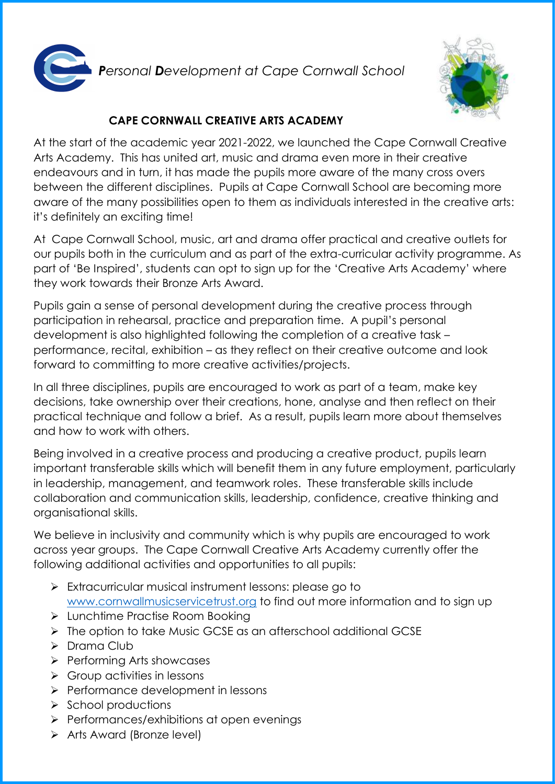

*Personal Development at Cape Cornwall School* 



## **CAPE CORNWALL CREATIVE ARTS ACADEMY**

At the start of the academic year 2021-2022, we launched the Cape Cornwall Creative Arts Academy. This has united art, music and drama even more in their creative endeavours and in turn, it has made the pupils more aware of the many cross overs between the different disciplines. Pupils at Cape Cornwall School are becoming more aware of the many possibilities open to them as individuals interested in the creative arts: it's definitely an exciting time!

At Cape Cornwall School, music, art and drama offer practical and creative outlets for our pupils both in the curriculum and as part of the extra-curricular activity programme. As part of 'Be Inspired', students can opt to sign up for the 'Creative Arts Academy' where they work towards their Bronze Arts Award.

Pupils gain a sense of personal development during the creative process through participation in rehearsal, practice and preparation time. A pupil's personal development is also highlighted following the completion of a creative task – performance, recital, exhibition – as they reflect on their creative outcome and look forward to committing to more creative activities/projects.

In all three disciplines, pupils are encouraged to work as part of a team, make key decisions, take ownership over their creations, hone, analyse and then reflect on their practical technique and follow a brief. As a result, pupils learn more about themselves and how to work with others.

Being involved in a creative process and producing a creative product, pupils learn important transferable skills which will benefit them in any future employment, particularly in leadership, management, and teamwork roles. These transferable skills include collaboration and communication skills, leadership, confidence, creative thinking and organisational skills.

We believe in inclusivity and community which is why pupils are encouraged to work across year groups. The Cape Cornwall Creative Arts Academy currently offer the following additional activities and opportunities to all pupils:

- Extracurricular musical instrument lessons: please go to [www.cornwallmusicservicetrust.org](http://www.cornwallmusicservicetrust.org/) to find out more information and to sign up
- ▶ Lunchtime Practise Room Booking
- The option to take Music GCSE as an afterschool additional GCSE
- $\triangleright$  Drama Club
- $\triangleright$  Performing Arts showcases
- $\triangleright$  Group activities in lessons
- $\triangleright$  Performance development in lessons
- $\triangleright$  School productions
- $\triangleright$  Performances/exhibitions at open evenings
- $\triangleright$  Arts Award (Bronze level)